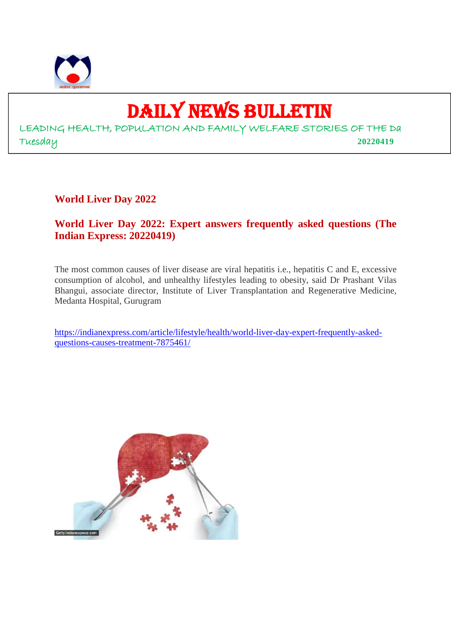

9

# DAILY NEWS BULLETIN

LEADING HEALTH, POPULATION AND FAMILY WELFARE STORIES OF THE Da Tuesday **20220419**

**World Liver Day 2022**

# **World Liver Day 2022: Expert answers frequently asked questions (The Indian Express: 20220419)**

The most common causes of liver disease are viral hepatitis i.e., hepatitis C and E, excessive consumption of alcohol, and unhealthy lifestyles leading to obesity, said Dr Prashant Vilas Bhangui, associate director, Institute of Liver Transplantation and Regenerative Medicine, Medanta Hospital, Gurugram

https://indianexpress.com/article/lifestyle/health/world-liver-day-expert-frequently-askedquestions-causes-treatment-7875461/

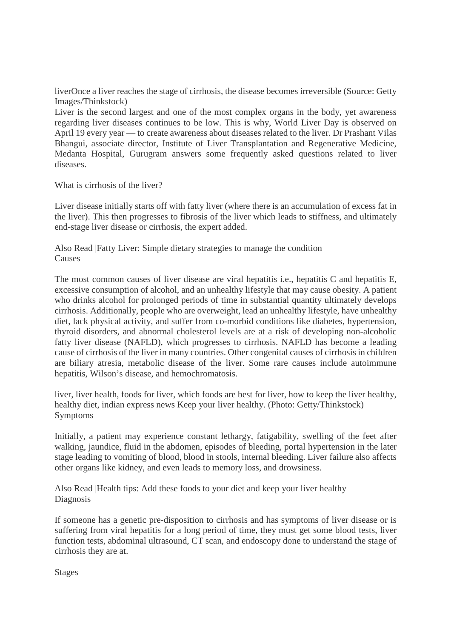liverOnce a liver reaches the stage of cirrhosis, the disease becomes irreversible (Source: Getty Images/Thinkstock)

Liver is the second largest and one of the most complex organs in the body, yet awareness regarding liver diseases continues to be low. This is why, World Liver Day is observed on April 19 every year — to create awareness about diseases related to the liver. Dr Prashant Vilas Bhangui, associate director, Institute of Liver Transplantation and Regenerative Medicine, Medanta Hospital, Gurugram answers some frequently asked questions related to liver diseases.

What is cirrhosis of the liver?

Liver disease initially starts off with fatty liver (where there is an accumulation of excess fat in the liver). This then progresses to fibrosis of the liver which leads to stiffness, and ultimately end-stage liver disease or cirrhosis, the expert added.

Also Read |Fatty Liver: Simple dietary strategies to manage the condition **Causes** 

The most common causes of liver disease are viral hepatitis i.e., hepatitis C and hepatitis E, excessive consumption of alcohol, and an unhealthy lifestyle that may cause obesity. A patient who drinks alcohol for prolonged periods of time in substantial quantity ultimately develops cirrhosis. Additionally, people who are overweight, lead an unhealthy lifestyle, have unhealthy diet, lack physical activity, and suffer from co-morbid conditions like diabetes, hypertension, thyroid disorders, and abnormal cholesterol levels are at a risk of developing non-alcoholic fatty liver disease (NAFLD), which progresses to cirrhosis. NAFLD has become a leading cause of cirrhosis of the liver in many countries. Other congenital causes of cirrhosis in children are biliary atresia, metabolic disease of the liver. Some rare causes include autoimmune hepatitis, Wilson's disease, and hemochromatosis.

liver, liver health, foods for liver, which foods are best for liver, how to keep the liver healthy, healthy diet, indian express news Keep your liver healthy. (Photo: Getty/Thinkstock) Symptoms

Initially, a patient may experience constant lethargy, fatigability, swelling of the feet after walking, jaundice, fluid in the abdomen, episodes of bleeding, portal hypertension in the later stage leading to vomiting of blood, blood in stools, internal bleeding. Liver failure also affects other organs like kidney, and even leads to memory loss, and drowsiness.

Also Read |Health tips: Add these foods to your diet and keep your liver healthy Diagnosis

If someone has a genetic pre-disposition to cirrhosis and has symptoms of liver disease or is suffering from viral hepatitis for a long period of time, they must get some blood tests, liver function tests, abdominal ultrasound, CT scan, and endoscopy done to understand the stage of cirrhosis they are at.

Stages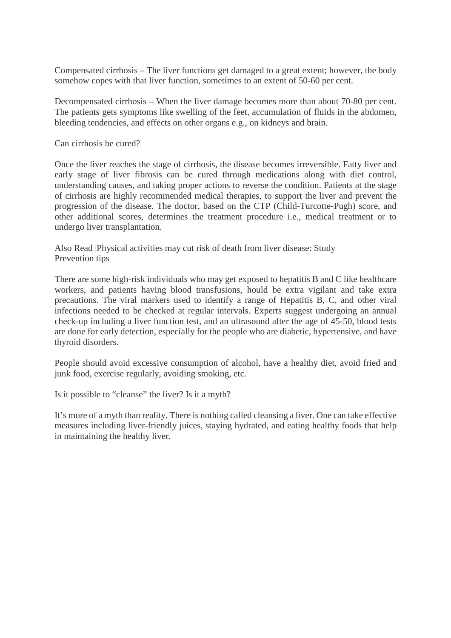Compensated cirrhosis – The liver functions get damaged to a great extent; however, the body somehow copes with that liver function, sometimes to an extent of 50-60 per cent.

Decompensated cirrhosis – When the liver damage becomes more than about 70-80 per cent. The patients gets symptoms like swelling of the feet, accumulation of fluids in the abdomen, bleeding tendencies, and effects on other organs e.g., on kidneys and brain.

Can cirrhosis be cured?

Once the liver reaches the stage of cirrhosis, the disease becomes irreversible. Fatty liver and early stage of liver fibrosis can be cured through medications along with diet control, understanding causes, and taking proper actions to reverse the condition. Patients at the stage of cirrhosis are highly recommended medical therapies, to support the liver and prevent the progression of the disease. The doctor, based on the CTP (Child-Turcotte-Pugh) score, and other additional scores, determines the treatment procedure i.e., medical treatment or to undergo liver transplantation.

Also Read |Physical activities may cut risk of death from liver disease: Study Prevention tips

There are some high-risk individuals who may get exposed to hepatitis B and C like healthcare workers, and patients having blood transfusions, hould be extra vigilant and take extra precautions. The viral markers used to identify a range of Hepatitis B, C, and other viral infections needed to be checked at regular intervals. Experts suggest undergoing an annual check-up including a liver function test, and an ultrasound after the age of 45-50, blood tests are done for early detection, especially for the people who are diabetic, hypertensive, and have thyroid disorders.

People should avoid excessive consumption of alcohol, have a healthy diet, avoid fried and junk food, exercise regularly, avoiding smoking, etc.

Is it possible to "cleanse" the liver? Is it a myth?

It's more of a myth than reality. There is nothing called cleansing a liver. One can take effective measures including liver-friendly juices, staying hydrated, and eating healthy foods that help in maintaining the healthy liver.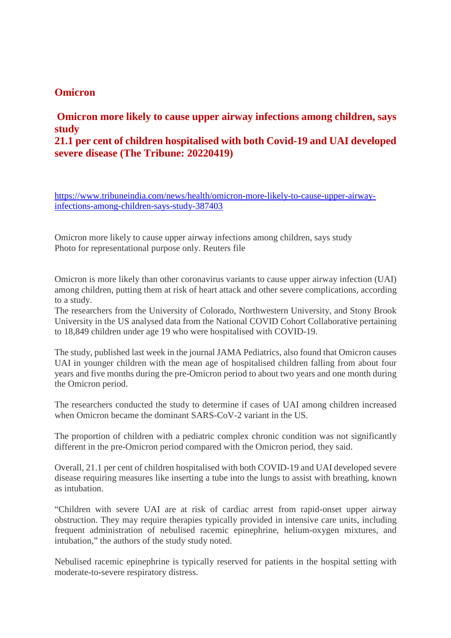# **Omicron**

# **Omicron more likely to cause upper airway infections among children, says study**

**21.1 per cent of children hospitalised with both Covid-19 and UAI developed severe disease (The Tribune: 20220419)**

https://www.tribuneindia.com/news/health/omicron-more-likely-to-cause-upper-airwayinfections-among-children-says-study-387403

Omicron more likely to cause upper airway infections among children, says study Photo for representational purpose only. Reuters file

Omicron is more likely than other coronavirus variants to cause upper airway infection (UAI) among children, putting them at risk of heart attack and other severe complications, according to a study.

The researchers from the University of Colorado, Northwestern University, and Stony Brook University in the US analysed data from the National COVID Cohort Collaborative pertaining to 18,849 children under age 19 who were hospitalised with COVID-19.

The study, published last week in the journal JAMA Pediatrics, also found that Omicron causes UAI in younger children with the mean age of hospitalised children falling from about four years and five months during the pre-Omicron period to about two years and one month during the Omicron period.

The researchers conducted the study to determine if cases of UAI among children increased when Omicron became the dominant SARS-CoV-2 variant in the US.

The proportion of children with a pediatric complex chronic condition was not significantly different in the pre-Omicron period compared with the Omicron period, they said.

Overall, 21.1 per cent of children hospitalised with both COVID-19 and UAI developed severe disease requiring measures like inserting a tube into the lungs to assist with breathing, known as intubation.

"Children with severe UAI are at risk of cardiac arrest from rapid-onset upper airway obstruction. They may require therapies typically provided in intensive care units, including frequent administration of nebulised racemic epinephrine, helium-oxygen mixtures, and intubation," the authors of the study study noted.

Nebulised racemic epinephrine is typically reserved for patients in the hospital setting with moderate-to-severe respiratory distress.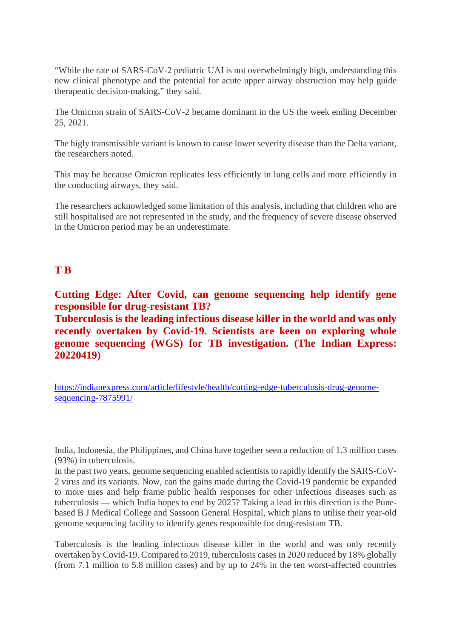"While the rate of SARS-CoV-2 pediatric UAI is not overwhelmingly high, understanding this new clinical phenotype and the potential for acute upper airway obstruction may help guide therapeutic decision-making," they said.

The Omicron strain of SARS-CoV-2 became dominant in the US the week ending December 25, 2021.

The higly transmissible variant is known to cause lower severity disease than the Delta variant, the researchers noted.

This may be because Omicron replicates less efficiently in lung cells and more efficiently in the conducting airways, they said.

The researchers acknowledged some limitation of this analysis, including that children who are still hospitalised are not represented in the study, and the frequency of severe disease observed in the Omicron period may be an underestimate.

# **T B**

**Cutting Edge: After Covid, can genome sequencing help identify gene responsible for drug-resistant TB?**

**Tuberculosis is the leading infectious disease killer in the world and was only recently overtaken by Covid-19. Scientists are keen on exploring whole genome sequencing (WGS) for TB investigation. (The Indian Express: 20220419)**

https://indianexpress.com/article/lifestyle/health/cutting-edge-tuberculosis-drug-genomesequencing-7875991/

India, Indonesia, the Philippines, and China have together seen a reduction of 1.3 million cases (93%) in tuberculosis.

In the past two years, genome sequencing enabled scientists to rapidly identify the SARS-CoV-2 virus and its variants. Now, can the gains made during the Covid-19 pandemic be expanded to more uses and help frame public health responses for other infectious diseases such as tuberculosis — which India hopes to end by 2025? Taking a lead in this direction is the Punebased B J Medical College and Sassoon General Hospital, which plans to utilise their year-old genome sequencing facility to identify genes responsible for drug-resistant TB.

Tuberculosis is the leading infectious disease killer in the world and was only recently overtaken by Covid-19. Compared to 2019, tuberculosis cases in 2020 reduced by 18% globally (from 7.1 million to 5.8 million cases) and by up to 24% in the ten worst-affected countries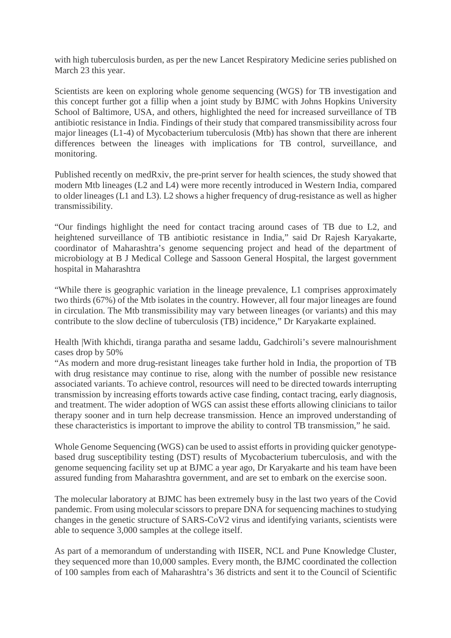with high tuberculosis burden, as per the new Lancet Respiratory Medicine series published on March 23 this year.

Scientists are keen on exploring whole genome sequencing (WGS) for TB investigation and this concept further got a fillip when a joint study by BJMC with Johns Hopkins University School of Baltimore, USA, and others, highlighted the need for increased surveillance of TB antibiotic resistance in India. Findings of their study that compared transmissibility across four major lineages (L1-4) of Mycobacterium tuberculosis (Mtb) has shown that there are inherent differences between the lineages with implications for TB control, surveillance, and monitoring.

Published recently on medRxiv, the pre-print server for health sciences, the study showed that modern Mtb lineages (L2 and L4) were more recently introduced in Western India, compared to older lineages (L1 and L3). L2 shows a higher frequency of drug-resistance as well as higher transmissibility.

"Our findings highlight the need for contact tracing around cases of TB due to L2, and heightened surveillance of TB antibiotic resistance in India," said Dr Rajesh Karyakarte, coordinator of Maharashtra's genome sequencing project and head of the department of microbiology at B J Medical College and Sassoon General Hospital, the largest government hospital in Maharashtra

"While there is geographic variation in the lineage prevalence, L1 comprises approximately two thirds (67%) of the Mtb isolates in the country. However, all four major lineages are found in circulation. The Mtb transmissibility may vary between lineages (or variants) and this may contribute to the slow decline of tuberculosis (TB) incidence," Dr Karyakarte explained.

Health |With khichdi, tiranga paratha and sesame laddu, Gadchiroli's severe malnourishment cases drop by 50%

"As modern and more drug-resistant lineages take further hold in India, the proportion of TB with drug resistance may continue to rise, along with the number of possible new resistance associated variants. To achieve control, resources will need to be directed towards interrupting transmission by increasing efforts towards active case finding, contact tracing, early diagnosis, and treatment. The wider adoption of WGS can assist these efforts allowing clinicians to tailor therapy sooner and in turn help decrease transmission. Hence an improved understanding of these characteristics is important to improve the ability to control TB transmission," he said.

Whole Genome Sequencing (WGS) can be used to assist efforts in providing quicker genotypebased drug susceptibility testing (DST) results of Mycobacterium tuberculosis, and with the genome sequencing facility set up at BJMC a year ago, Dr Karyakarte and his team have been assured funding from Maharashtra government, and are set to embark on the exercise soon.

The molecular laboratory at BJMC has been extremely busy in the last two years of the Covid pandemic. From using molecular scissors to prepare DNA for sequencing machines to studying changes in the genetic structure of SARS-CoV2 virus and identifying variants, scientists were able to sequence 3,000 samples at the college itself.

As part of a memorandum of understanding with IISER, NCL and Pune Knowledge Cluster, they sequenced more than 10,000 samples. Every month, the BJMC coordinated the collection of 100 samples from each of Maharashtra's 36 districts and sent it to the Council of Scientific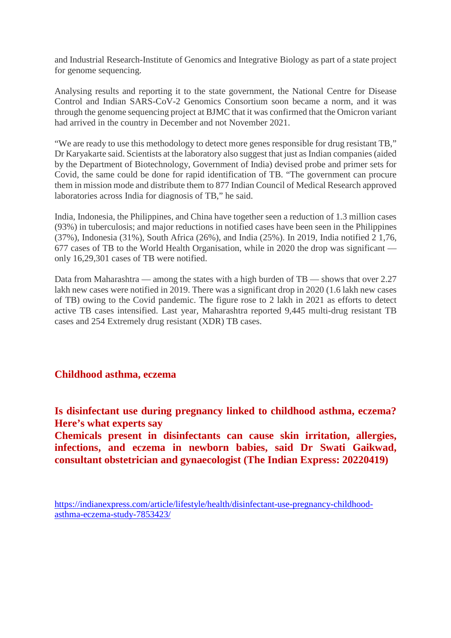and Industrial Research-Institute of Genomics and Integrative Biology as part of a state project for genome sequencing.

Analysing results and reporting it to the state government, the National Centre for Disease Control and Indian SARS-CoV-2 Genomics Consortium soon became a norm, and it was through the genome sequencing project at BJMC that it was confirmed that the Omicron variant had arrived in the country in December and not November 2021.

"We are ready to use this methodology to detect more genes responsible for drug resistant TB," Dr Karyakarte said. Scientists at the laboratory also suggest that just as Indian companies (aided by the Department of Biotechnology, Government of India) devised probe and primer sets for Covid, the same could be done for rapid identification of TB. "The government can procure them in mission mode and distribute them to 877 Indian Council of Medical Research approved laboratories across India for diagnosis of TB," he said.

India, Indonesia, the Philippines, and China have together seen a reduction of 1.3 million cases (93%) in tuberculosis; and major reductions in notified cases have been seen in the Philippines (37%), Indonesia (31%), South Africa (26%), and India (25%). In 2019, India notified 2 1,76, 677 cases of TB to the World Health Organisation, while in 2020 the drop was significant only 16,29,301 cases of TB were notified.

Data from Maharashtra — among the states with a high burden of TB — shows that over 2.27 lakh new cases were notified in 2019. There was a significant drop in 2020 (1.6 lakh new cases of TB) owing to the Covid pandemic. The figure rose to 2 lakh in 2021 as efforts to detect active TB cases intensified. Last year, Maharashtra reported 9,445 multi-drug resistant TB cases and 254 Extremely drug resistant (XDR) TB cases.

## **Childhood asthma, eczema**

**Is disinfectant use during pregnancy linked to childhood asthma, eczema? Here's what experts say**

**Chemicals present in disinfectants can cause skin irritation, allergies, infections, and eczema in newborn babies, said Dr Swati Gaikwad, consultant obstetrician and gynaecologist (The Indian Express: 20220419)**

https://indianexpress.com/article/lifestyle/health/disinfectant-use-pregnancy-childhoodasthma-eczema-study-7853423/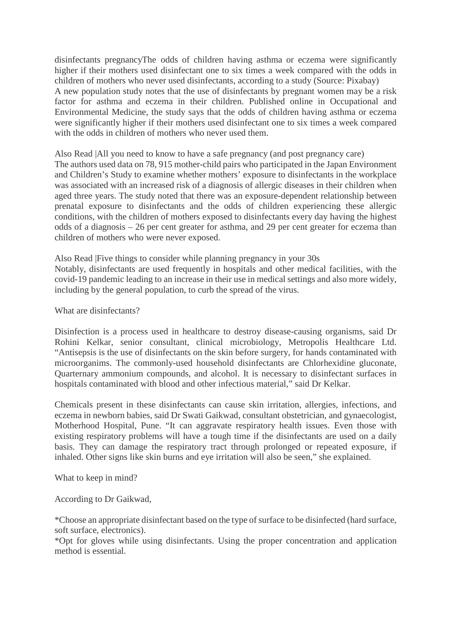disinfectants pregnancyThe odds of children having asthma or eczema were significantly higher if their mothers used disinfectant one to six times a week compared with the odds in children of mothers who never used disinfectants, according to a study (Source: Pixabay) A new population study notes that the use of disinfectants by pregnant women may be a risk factor for asthma and eczema in their children. Published online in Occupational and Environmental Medicine, the study says that the odds of children having asthma or eczema were significantly higher if their mothers used disinfectant one to six times a week compared with the odds in children of mothers who never used them.

Also Read |All you need to know to have a safe pregnancy (and post pregnancy care) The authors used data on 78, 915 mother-child pairs who participated in the Japan Environment and Children's Study to examine whether mothers' exposure to disinfectants in the workplace was associated with an increased risk of a diagnosis of allergic diseases in their children when aged three years. The study noted that there was an exposure-dependent relationship between prenatal exposure to disinfectants and the odds of children experiencing these allergic conditions, with the children of mothers exposed to disinfectants every day having the highest odds of a diagnosis – 26 per cent greater for asthma, and 29 per cent greater for eczema than children of mothers who were never exposed.

Also Read |Five things to consider while planning pregnancy in your 30s Notably, disinfectants are used frequently in hospitals and other medical facilities, with the covid-19 pandemic leading to an increase in their use in medical settings and also more widely, including by the general population, to curb the spread of the virus.

What are disinfectants?

Disinfection is a process used in healthcare to destroy disease-causing organisms, said Dr Rohini Kelkar, senior consultant, clinical microbiology, Metropolis Healthcare Ltd. "Antisepsis is the use of disinfectants on the skin before surgery, for hands contaminated with microorganims. The commonly-used household disinfectants are Chlorhexidine gluconate, Quarternary ammonium compounds, and alcohol. It is necessary to disinfectant surfaces in hospitals contaminated with blood and other infectious material," said Dr Kelkar.

Chemicals present in these disinfectants can cause skin irritation, allergies, infections, and eczema in newborn babies, said Dr Swati Gaikwad, consultant obstetrician, and gynaecologist, Motherhood Hospital, Pune. "It can aggravate respiratory health issues. Even those with existing respiratory problems will have a tough time if the disinfectants are used on a daily basis. They can damage the respiratory tract through prolonged or repeated exposure, if inhaled. Other signs like skin burns and eye irritation will also be seen," she explained.

What to keep in mind?

According to Dr Gaikwad,

\*Choose an appropriate disinfectant based on the type of surface to be disinfected (hard surface, soft surface, electronics).

\*Opt for gloves while using disinfectants. Using the proper concentration and application method is essential.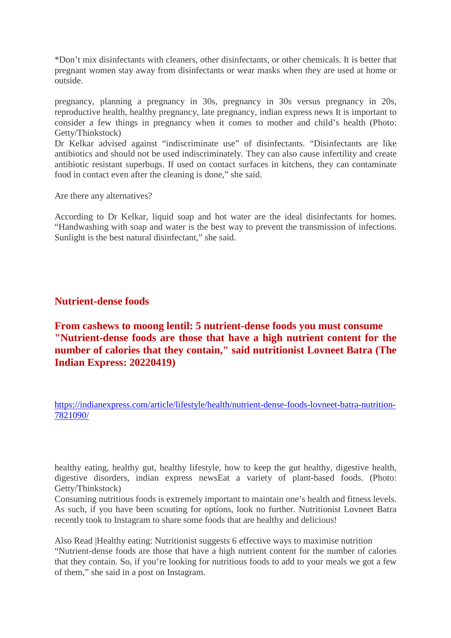\*Don't mix disinfectants with cleaners, other disinfectants, or other chemicals. It is better that pregnant women stay away from disinfectants or wear masks when they are used at home or outside.

pregnancy, planning a pregnancy in 30s, pregnancy in 30s versus pregnancy in 20s, reproductive health, healthy pregnancy, late pregnancy, indian express news It is important to consider a few things in pregnancy when it comes to mother and child's health (Photo: Getty/Thinkstock)

Dr Kelkar advised against "indiscriminate use" of disinfectants. "Disinfectants are like antibiotics and should not be used indiscriminately. They can also cause infertility and create antibiotic resistant superbugs. If used on contact surfaces in kitchens, they can contaminate food in contact even after the cleaning is done," she said.

Are there any alternatives?

According to Dr Kelkar, liquid soap and hot water are the ideal disinfectants for homes. "Handwashing with soap and water is the best way to prevent the transmission of infections. Sunlight is the best natural disinfectant," she said.

## **Nutrient-dense foods**

**From cashews to moong lentil: 5 nutrient-dense foods you must consume "Nutrient-dense foods are those that have a high nutrient content for the number of calories that they contain," said nutritionist Lovneet Batra (The Indian Express: 20220419)**

https://indianexpress.com/article/lifestyle/health/nutrient-dense-foods-lovneet-batra-nutrition-7821090/

healthy eating, healthy gut, healthy lifestyle, how to keep the gut healthy, digestive health, digestive disorders, indian express newsEat a variety of plant-based foods. (Photo: Getty/Thinkstock)

Consuming nutritious foods is extremely important to maintain one's health and fitness levels. As such, if you have been scouting for options, look no further. Nutritionist Lovneet Batra recently took to Instagram to share some foods that are healthy and delicious!

Also Read |Healthy eating: Nutritionist suggests 6 effective ways to maximise nutrition "Nutrient-dense foods are those that have a high nutrient content for the number of calories that they contain. So, if you're looking for nutritious foods to add to your meals we got a few of them," she said in a post on Instagram.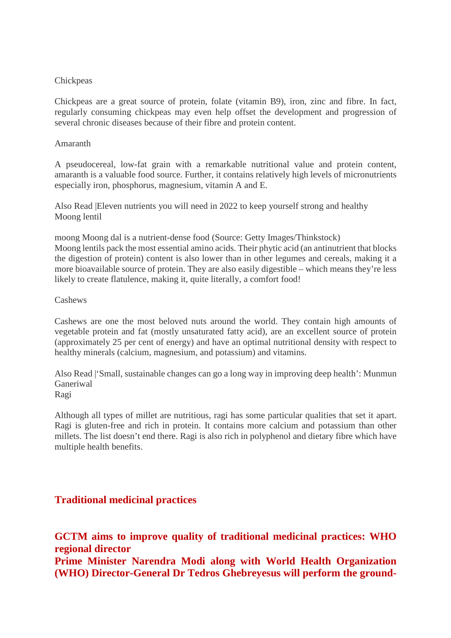#### **Chickpeas**

Chickpeas are a great source of protein, folate (vitamin B9), iron, zinc and fibre. In fact, regularly consuming chickpeas may even help offset the development and progression of several chronic diseases because of their fibre and protein content.

#### Amaranth

A pseudocereal, low-fat grain with a remarkable nutritional value and protein content, amaranth is a valuable food source. Further, it contains relatively high levels of micronutrients especially iron, phosphorus, magnesium, vitamin A and E.

Also Read |Eleven nutrients you will need in 2022 to keep yourself strong and healthy Moong lentil

moong Moong dal is a nutrient-dense food (Source: Getty Images/Thinkstock) Moong lentils pack the most essential amino acids. Their phytic acid (an antinutrient that blocks the digestion of protein) content is also lower than in other legumes and cereals, making it a more bioavailable source of protein. They are also easily digestible – which means they're less likely to create flatulence, making it, quite literally, a comfort food!

#### Cashews

Cashews are one the most beloved nuts around the world. They contain high amounts of vegetable protein and fat (mostly unsaturated fatty acid), are an excellent source of protein (approximately 25 per cent of energy) and have an optimal nutritional density with respect to healthy minerals (calcium, magnesium, and potassium) and vitamins.

Also Read |'Small, sustainable changes can go a long way in improving deep health': Munmun Ganeriwal Ragi

Although all types of millet are nutritious, ragi has some particular qualities that set it apart. Ragi is gluten-free and rich in protein. It contains more calcium and potassium than other millets. The list doesn't end there. Ragi is also rich in polyphenol and dietary fibre which have multiple health benefits.

# **Traditional medicinal practices**

**GCTM aims to improve quality of traditional medicinal practices: WHO regional director Prime Minister Narendra Modi along with World Health Organization (WHO) Director-General Dr Tedros Ghebreyesus will perform the ground-**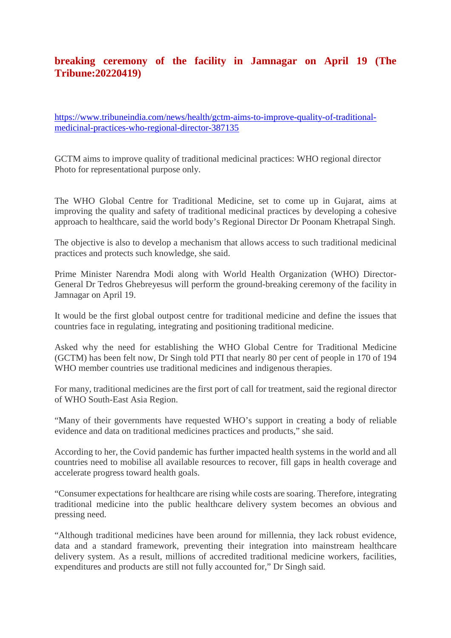# **breaking ceremony of the facility in Jamnagar on April 19 (The Tribune:20220419)**

https://www.tribuneindia.com/news/health/gctm-aims-to-improve-quality-of-traditionalmedicinal-practices-who-regional-director-387135

GCTM aims to improve quality of traditional medicinal practices: WHO regional director Photo for representational purpose only.

The WHO Global Centre for Traditional Medicine, set to come up in Gujarat, aims at improving the quality and safety of traditional medicinal practices by developing a cohesive approach to healthcare, said the world body's Regional Director Dr Poonam Khetrapal Singh.

The objective is also to develop a mechanism that allows access to such traditional medicinal practices and protects such knowledge, she said.

Prime Minister Narendra Modi along with World Health Organization (WHO) Director-General Dr Tedros Ghebreyesus will perform the ground-breaking ceremony of the facility in Jamnagar on April 19.

It would be the first global outpost centre for traditional medicine and define the issues that countries face in regulating, integrating and positioning traditional medicine.

Asked why the need for establishing the WHO Global Centre for Traditional Medicine (GCTM) has been felt now, Dr Singh told PTI that nearly 80 per cent of people in 170 of 194 WHO member countries use traditional medicines and indigenous therapies.

For many, traditional medicines are the first port of call for treatment, said the regional director of WHO South-East Asia Region.

"Many of their governments have requested WHO's support in creating a body of reliable evidence and data on traditional medicines practices and products," she said.

According to her, the Covid pandemic has further impacted health systems in the world and all countries need to mobilise all available resources to recover, fill gaps in health coverage and accelerate progress toward health goals.

"Consumer expectations for healthcare are rising while costs are soaring. Therefore, integrating traditional medicine into the public healthcare delivery system becomes an obvious and pressing need.

"Although traditional medicines have been around for millennia, they lack robust evidence, data and a standard framework, preventing their integration into mainstream healthcare delivery system. As a result, millions of accredited traditional medicine workers, facilities, expenditures and products are still not fully accounted for," Dr Singh said.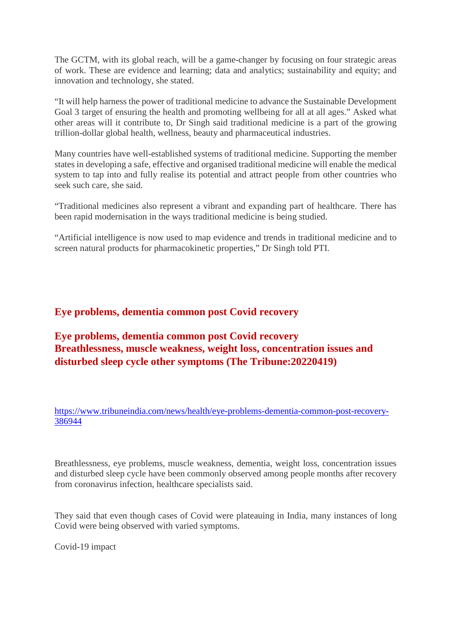The GCTM, with its global reach, will be a game-changer by focusing on four strategic areas of work. These are evidence and learning; data and analytics; sustainability and equity; and innovation and technology, she stated.

"It will help harness the power of traditional medicine to advance the Sustainable Development Goal 3 target of ensuring the health and promoting wellbeing for all at all ages." Asked what other areas will it contribute to, Dr Singh said traditional medicine is a part of the growing trillion-dollar global health, wellness, beauty and pharmaceutical industries.

Many countries have well-established systems of traditional medicine. Supporting the member states in developing a safe, effective and organised traditional medicine will enable the medical system to tap into and fully realise its potential and attract people from other countries who seek such care, she said.

"Traditional medicines also represent a vibrant and expanding part of healthcare. There has been rapid modernisation in the ways traditional medicine is being studied.

"Artificial intelligence is now used to map evidence and trends in traditional medicine and to screen natural products for pharmacokinetic properties," Dr Singh told PTI.

# **Eye problems, dementia common post Covid recovery**

**Eye problems, dementia common post Covid recovery Breathlessness, muscle weakness, weight loss, concentration issues and disturbed sleep cycle other symptoms (The Tribune:20220419)**

https://www.tribuneindia.com/news/health/eye-problems-dementia-common-post-recovery-386944

Breathlessness, eye problems, muscle weakness, dementia, weight loss, concentration issues and disturbed sleep cycle have been commonly observed among people months after recovery from coronavirus infection, healthcare specialists said.

They said that even though cases of Covid were plateauing in India, many instances of long Covid were being observed with varied symptoms.

Covid-19 impact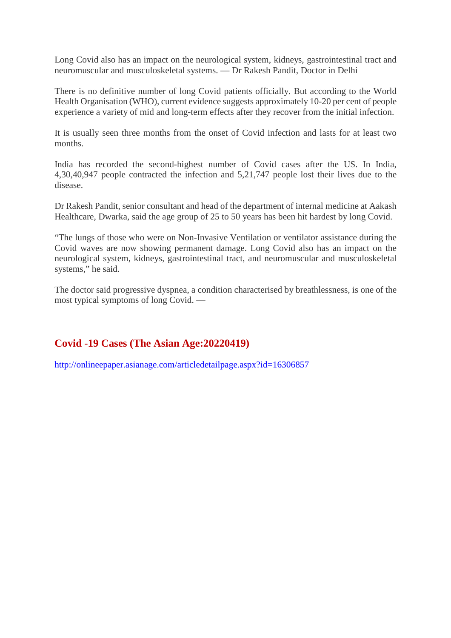Long Covid also has an impact on the neurological system, kidneys, gastrointestinal tract and neuromuscular and musculoskeletal systems. — Dr Rakesh Pandit, Doctor in Delhi

There is no definitive number of long Covid patients officially. But according to the World Health Organisation (WHO), current evidence suggests approximately 10-20 per cent of people experience a variety of mid and long-term effects after they recover from the initial infection.

It is usually seen three months from the onset of Covid infection and lasts for at least two months.

India has recorded the second-highest number of Covid cases after the US. In India, 4,30,40,947 people contracted the infection and 5,21,747 people lost their lives due to the disease.

Dr Rakesh Pandit, senior consultant and head of the department of internal medicine at Aakash Healthcare, Dwarka, said the age group of 25 to 50 years has been hit hardest by long Covid.

"The lungs of those who were on Non-Invasive Ventilation or ventilator assistance during the Covid waves are now showing permanent damage. Long Covid also has an impact on the neurological system, kidneys, gastrointestinal tract, and neuromuscular and musculoskeletal systems," he said.

The doctor said progressive dyspnea, a condition characterised by breathlessness, is one of the most typical symptoms of long Covid. —

# **Covid -19 Cases (The Asian Age:20220419)**

http://onlineepaper.asianage.com/articledetailpage.aspx?id=16306857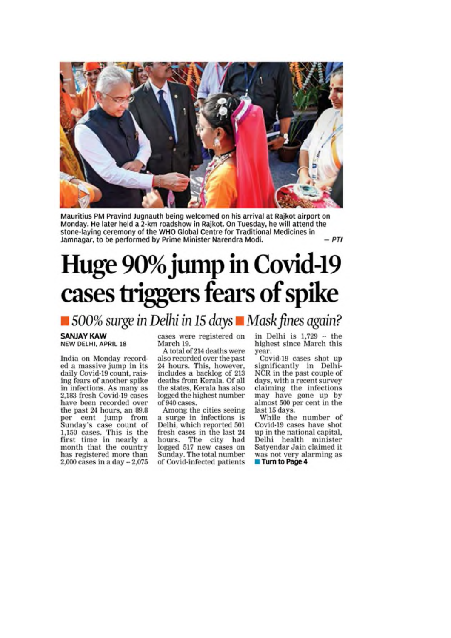

Mauritius PM Pravind Jugnauth being welcomed on his arrival at Rajkot airport on Monday. He later held a 2-km roadshow in Rajkot. On Tuesday, he will attend the stone-laying ceremony of the WHO Global Centre for Traditional Medicines in  $-PTI$ Jamnagar, to be performed by Prime Minister Narendra Modi.

# Huge 90% jump in Covid-19 cases triggers fears of spike

# ■ 500% surge in Delhi in 15 days ■ Mask fines again?

#### **SANJAY KAW** NEW DELHI, APRIL 18

India on Monday recorded a massive jump in its daily Covid-19 count, raising fears of another spike in infections. As many as 2,183 fresh Covid-19 cases have been recorded over the past 24 hours, an 89.8 per cent jump from Sunday's case count of 1,150 cases. This is the first time in nearly a month that the country

has registered more than

2,000 cases in a day  $-2,075$ 

cases were registered on March 19.

A total of 214 deaths were also recorded over the past 24 hours. This, however, includes a backlog of 213 deaths from Kerala. Of all the states, Kerala has also logged the highest number of 940 cases.

Among the cities seeing a surge in infections is Delhi, which reported 501 fresh cases in the last 24 hours. The city had logged 517 new cases on Sunday. The total number of Covid-infected patients in Delhi is  $1,729 -$  the highest since March this year.

Covid-19 cases shot up significantly in Delhi-NCR in the past couple of days, with a recent survey claiming the infections may have gone up by<br>almost 500 per cent in the last 15 days.

While the number of Covid-19 cases have shot up in the national capital, Delhi health minister Satyendar Jain claimed it was not very alarming as Turn to Page 4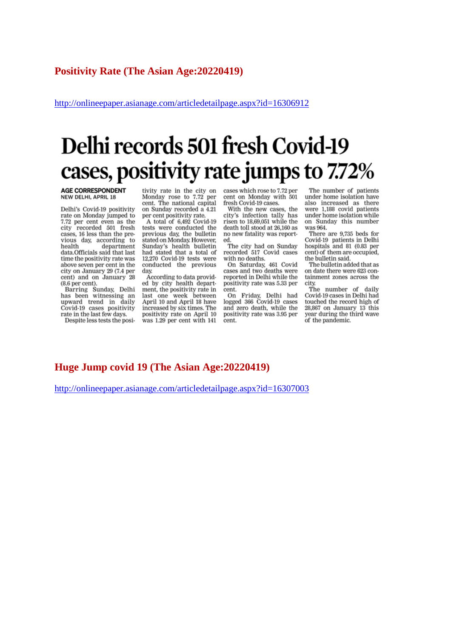http://onlineepaper.asianage.com/articledetailpage.aspx?id=16306912

# Delhi records 501 fresh Covid-19 cases, positivity rate jumps to 7.72%

#### **AGE CORRESPONDENT NEW DELHI, APRIL 18**

Delhi's Covid-19 positivity rate on Monday jumped to 7.72 per cent even as the city recorded 501 fresh cases, 16 less than the previous day, according to health department data.Officials said that last time the positivity rate was above seven per cent in the city on January 29 (7.4 per cent) and on January 28  $(8.6$  per cent).

Barring Sunday, Delhi<br>has been witnessing an nas been writessing an<br>upward trend in daily<br>Covid-19 cases positivity rate in the last few days.

Despite less tests the posi-

tivity rate in the city on Monday rose to 7.72 per cent. The national capital on Sunday recorded a 4.21 per cent positivity rate.

A total of 6,492 Covid-19 tests were conducted the previous day, the bulletin stated on Monday. However, Sunday's health bulletin had stated that a total of 12,270 Covid-19 tests were conducted the previous day.

According to data provided by city health department, the positivity rate in<br>last one week between April 10 and April 18 have increased by six times. The positivity rate on April 10 was 1.29 per cent with 141

cases which rose to 7.72 per cent on Monday with 501 fresh Covid-19 cases.

With the new cases, the city's infection tally has risen to 18,69,051 while the death toll stood at 26,160 as no new fatality was reported

The city had on Sunday recorded 517 Covid cases with no deaths.

On Saturday, 461 Covid cases and two deaths were reported in Delhi while the positivity rate was 5.33 per cent.

On Friday, Delhi had<br>logged 366 Covid-19 cases and zero death, while the positivity rate was 3.95 per cent.

The number of patients under home isolation have also increased as there were 1,188 covid patients under home isolation while on Sunday this number was 964.

There are 9,735 beds for Covid-19 patients in Delhi hospitals and 81 (0.83 per cent) of them are occupied, the bulletin said.

The bulletin added that as on date there were 623 containment zones across the city.

The number of daily Covid-19 cases in Delhi had touched the record high of 28,867 on January 13 this year during the third wave of the pandemic.

#### **Huge Jump covid 19 (The Asian Age:20220419)**

http://onlineepaper.asianage.com/articledetailpage.aspx?id=16307003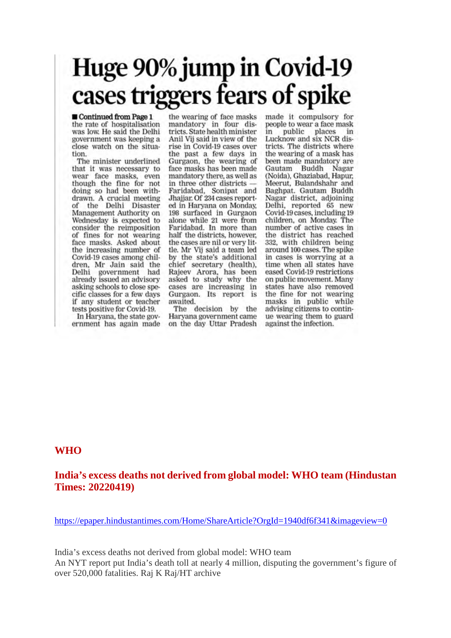# Huge 90% jump in Covid-19<br>cases triggers fears of spike

Continued from Page 1 the rate of hospitalisation was low. He said the Delhi government was keeping a close watch on the situation.

The minister underlined that it was necessary to wear face masks, even though the fine for not doing so had been withdrawn. A crucial meeting of the Delhi Disaster Management Authority on Wednesday is expected to consider the reimposition of fines for not wearing face masks. Asked about the increasing number of Covid-19 cases among children, Mr Jain said the Delhi government had<br>already issued an advisory asking schools to close specific classes for a few days if any student or teacher tests positive for Covid-19. In Haryana, the state gov-

ernment has again made

the wearing of face masks mandatory in four districts. State health minister Anil Vij said in view of the rise in Covid-19 cases over the past a few days in Gurgaon, the wearing of face masks has been made mandatory there, as well as in three other districts -Faridabad, Sonipat and Jhajjar, Of 234 cases reported in Haryana on Monday, 198 surfaced in Gurgaon alone while 21 were from Faridabad. In more than half the districts, however, the cases are nil or very little. Mr Vij said a team led by the state's additional chief secretary (health),<br>Rajeev Arora, has been<br>asked to study why the cases are increasing in Gurgaon. Its report is awaited.

The decision by the Haryana government came on the day Uttar Pradesh made it compulsory for people to wear a face mask in public places in<br>Lucknow and six NCR districts. The districts where the wearing of a mask has been made mandatory are Gautam Buddh Nagar (Noida), Ghaziabad, Hapur, Meerut, Bulandshahr and Baghpat. Gautam Buddh Nagar district, adjoining Delhi, reported 65 new Covid-19 cases, including 19 children, on Monday. The number of active cases in the district has reached 332, with children being around 100 cases. The spike in cases is worrying at a time when all states have eased Covid-19 restrictions on public movement. Many states have also removed the fine for not wearing masks in public while<br>advising citizens to continue wearing them to guard against the infection.

#### **WHO**

## **India's excess deaths not derived from global model: WHO team (Hindustan Times: 20220419)**

https://epaper.hindustantimes.com/Home/ShareArticle?OrgId=1940df6f341&imageview=0

India's excess deaths not derived from global model: WHO team An NYT report put India's death toll at nearly 4 million, disputing the government's figure of over 520,000 fatalities. Raj K Raj/HT archive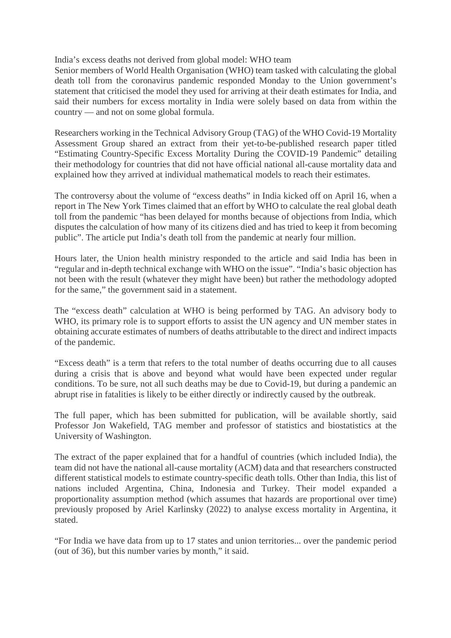India's excess deaths not derived from global model: WHO team

Senior members of World Health Organisation (WHO) team tasked with calculating the global death toll from the coronavirus pandemic responded Monday to the Union government's statement that criticised the model they used for arriving at their death estimates for India, and said their numbers for excess mortality in India were solely based on data from within the country — and not on some global formula.

Researchers working in the Technical Advisory Group (TAG) of the WHO Covid-19 Mortality Assessment Group shared an extract from their yet-to-be-published research paper titled "Estimating Country-Specific Excess Mortality During the COVID-19 Pandemic" detailing their methodology for countries that did not have official national all-cause mortality data and explained how they arrived at individual mathematical models to reach their estimates.

The controversy about the volume of "excess deaths" in India kicked off on April 16, when a report in The New York Times claimed that an effort by WHO to calculate the real global death toll from the pandemic "has been delayed for months because of objections from India, which disputes the calculation of how many of its citizens died and has tried to keep it from becoming public". The article put India's death toll from the pandemic at nearly four million.

Hours later, the Union health ministry responded to the article and said India has been in "regular and in-depth technical exchange with WHO on the issue". "India's basic objection has not been with the result (whatever they might have been) but rather the methodology adopted for the same," the government said in a statement.

The "excess death" calculation at WHO is being performed by TAG. An advisory body to WHO, its primary role is to support efforts to assist the UN agency and UN member states in obtaining accurate estimates of numbers of deaths attributable to the direct and indirect impacts of the pandemic.

"Excess death" is a term that refers to the total number of deaths occurring due to all causes during a crisis that is above and beyond what would have been expected under regular conditions. To be sure, not all such deaths may be due to Covid-19, but during a pandemic an abrupt rise in fatalities is likely to be either directly or indirectly caused by the outbreak.

The full paper, which has been submitted for publication, will be available shortly, said Professor Jon Wakefield, TAG member and professor of statistics and biostatistics at the University of Washington.

The extract of the paper explained that for a handful of countries (which included India), the team did not have the national all-cause mortality (ACM) data and that researchers constructed different statistical models to estimate country-specific death tolls. Other than India, this list of nations included Argentina, China, Indonesia and Turkey. Their model expanded a proportionality assumption method (which assumes that hazards are proportional over time) previously proposed by Ariel Karlinsky (2022) to analyse excess mortality in Argentina, it stated.

"For India we have data from up to 17 states and union territories... over the pandemic period (out of 36), but this number varies by month," it said.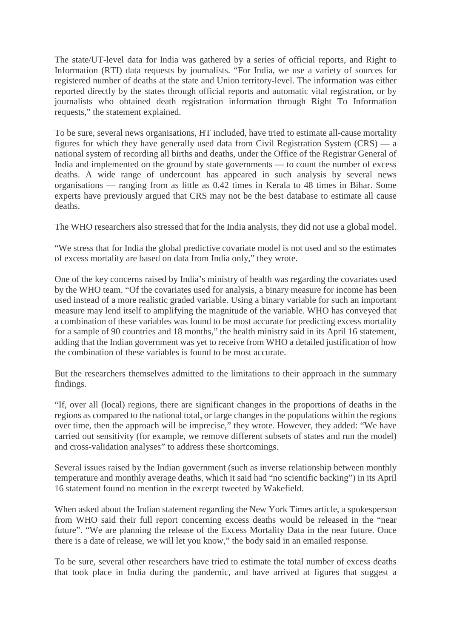The state/UT-level data for India was gathered by a series of official reports, and Right to Information (RTI) data requests by journalists. "For India, we use a variety of sources for registered number of deaths at the state and Union territory-level. The information was either reported directly by the states through official reports and automatic vital registration, or by journalists who obtained death registration information through Right To Information requests," the statement explained.

To be sure, several news organisations, HT included, have tried to estimate all-cause mortality figures for which they have generally used data from Civil Registration System (CRS) — a national system of recording all births and deaths, under the Office of the Registrar General of India and implemented on the ground by state governments — to count the number of excess deaths. A wide range of undercount has appeared in such analysis by several news organisations — ranging from as little as 0.42 times in Kerala to 48 times in Bihar. Some experts have previously argued that CRS may not be the best database to estimate all cause deaths.

The WHO researchers also stressed that for the India analysis, they did not use a global model.

"We stress that for India the global predictive covariate model is not used and so the estimates of excess mortality are based on data from India only," they wrote.

One of the key concerns raised by India's ministry of health was regarding the covariates used by the WHO team. "Of the covariates used for analysis, a binary measure for income has been used instead of a more realistic graded variable. Using a binary variable for such an important measure may lend itself to amplifying the magnitude of the variable. WHO has conveyed that a combination of these variables was found to be most accurate for predicting excess mortality for a sample of 90 countries and 18 months," the health ministry said in its April 16 statement, adding that the Indian government was yet to receive from WHO a detailed justification of how the combination of these variables is found to be most accurate.

But the researchers themselves admitted to the limitations to their approach in the summary findings.

"If, over all (local) regions, there are significant changes in the proportions of deaths in the regions as compared to the national total, or large changes in the populations within the regions over time, then the approach will be imprecise," they wrote. However, they added: "We have carried out sensitivity (for example, we remove different subsets of states and run the model) and cross-validation analyses" to address these shortcomings.

Several issues raised by the Indian government (such as inverse relationship between monthly temperature and monthly average deaths, which it said had "no scientific backing") in its April 16 statement found no mention in the excerpt tweeted by Wakefield.

When asked about the Indian statement regarding the New York Times article, a spokesperson from WHO said their full report concerning excess deaths would be released in the "near future". "We are planning the release of the Excess Mortality Data in the near future. Once there is a date of release, we will let you know," the body said in an emailed response.

To be sure, several other researchers have tried to estimate the total number of excess deaths that took place in India during the pandemic, and have arrived at figures that suggest a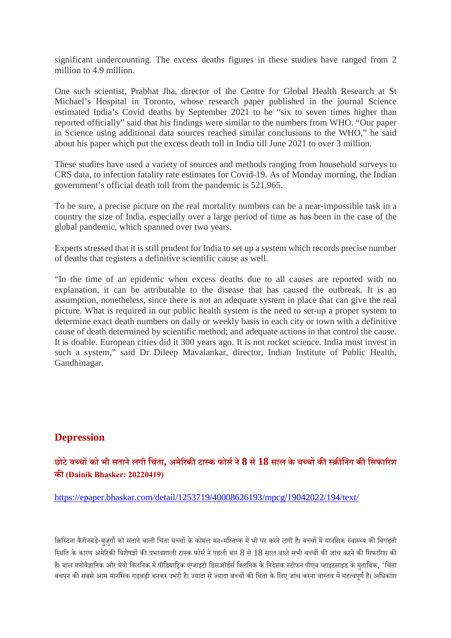significant undercounting. The excess deaths figures in these studies have ranged from 2 million to 4.9 million.

One such scientist, Prabhat Jha, director of the Centre for Global Health Research at St Michael's Hospital in Toronto, whose research paper published in the journal Science estimated India's Covid deaths by September 2021 to be "six to seven times higher than reported officially" said that his findings were similar to the numbers from WHO. "Our paper in Science using additional data sources reached similar conclusions to the WHO," he said about his paper which put the excess death toll in India till June 2021 to over 3 million.

These studies have used a variety of sources and methods ranging from household surveys to CRS data, to infection fatality rate estimates for Covid-19. As of Monday morning, the Indian government's official death toll from the pandemic is 521,965.

To be sure, a precise picture on the real mortality numbers can be a near-impossible task in a country the size of India, especially over a large period of time as has been in the case of the global pandemic, which spanned over two years.

Experts stressed that it is still prudent for India to set up a system which records precise number of deaths that registers a definitive scientific cause as well.

"In the time of an epidemic when excess deaths due to all causes are reported with no explanation, it can be attributable to the disease that has caused the outbreak. It is an assumption, nonetheless, since there is not an adequate system in place that can give the real picture. What is required in our public health system is the need to set-up a proper system to determine exact death numbers on daily or weekly basis in each city or town with a definitive cause of death determined by scientific method; and adequate actions in that control the cause. It is doable. European cities did it 300 years ago. It is not rocket science. India must invest in such a system," said Dr Dileep Mavalankar, director, Indian Institute of Public Health, Gandhinagar.

## **Depression**

## **छोटेबचको भी सतानेलगी िचंता, अमेरकटाक फोसने8 से18 साल के बचकिनंग किसफारश क(Dainik Bhasker: 20220419)**

#### https://epaper.bhaskar.com/detail/1253719/40008626193/mpcg/19042022/194/text/

क्रिस्टिना कैरॉनबड़े-बुजुर्गों को सताने वाली चिंता बच्चों के कोमल मन-मस्तिष्क में भी घर करने लगी है। बच्चों में मानसिक स्वास्थ्य की बिगड़ती स्थिति के कारण अमेरिकी विशेषज्ञों की प्रभावशाली टास्क फोर्स ने पहली बार 8 से 18 साल वाले सभी बच्चों की जांच करने की सिफारिश की है। बाल मनोवैज्ञानिक और मेयो क्लिनिक में पीडियाटिक एंजाइटी डिसऑर्डर्स क्लिनिक के निदेशक स्टीफन पीएच व्हाइटसाइड के मताबिक, 'चिंता बचपन की सबसे आम मानसिक गड़बड़ी बनकर उभरी है। ज्यादा से ज्यादा बच्चों की चिंता के लिए जांच करना वास्तव में महत्वपर्ण है। अधिकांश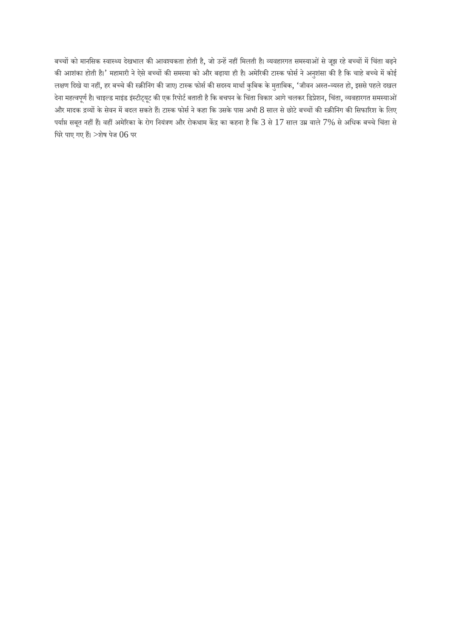बच्चों को मानसिक स्वास्थ्य देखभाल की आवश्यकता होती है, जो उन्हें नहीं मिलती है। व्यवहारगत समस्याओं से जूझ रहे बच्चों में चिंता बढ़ने की आशंका होती है।' महामारी ने ऐसे बच्चों की समस्या को और बढ़ाया ही है। अमेरिकी टास्क फोर्स ने अनुशंसा की है कि चाहे बच्चे में कोई लक्षण दिखे या नहीं, हर बच्चे की स्क्रीनिंग की जाए। टास्क फोर्स की सदस्य मार्था कुबिक के मुताबिक, 'जीवन अस्त-व्यस्त हो, इससे पहले दखल .<br>देना महत्वपूर्ण है। चाइल्ड माइंड इंस्टीट्यूट की एक रिपोर्ट बताती है कि बचपन के चिंता विकार आगे चलकर डिप्रेशन, चिंता, व्यवहारगत समस्याओं और मादक द्रव्यों के सेवन में बदल सकते हैं। टास्क फोर्स ने कहा कि उसके पास अभी 8 साल से छोटे बच्चों की स्क्रीनिंग की सिफारिश के लिए पर्याप्त सबूत नहीं हैं। वहीं अमेरिका के रोग नियंत्रण और रोकथाम केंद्र का कहना है कि 3 से 17 साल उम्र वाले 7% से अधिक बच्चे चिंता से घिरे पाए गए हैं। >शेष पेज  $06$  पर